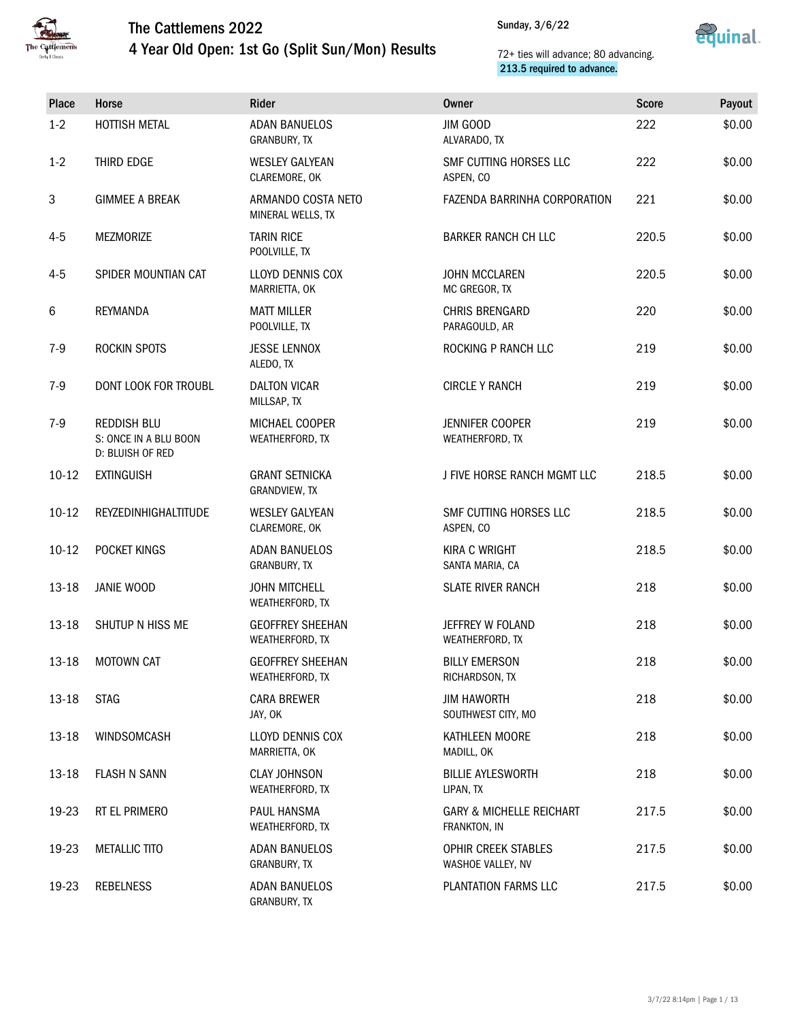

### 4 Year Old Open: 1st Go (Split Sun/Mon) Results



| Place   | Horse                                                           | Rider                                      | <b>Owner</b>                                        | <b>Score</b> | Payout |
|---------|-----------------------------------------------------------------|--------------------------------------------|-----------------------------------------------------|--------------|--------|
| $1-2$   | <b>HOTTISH METAL</b>                                            | <b>ADAN BANUELOS</b><br>GRANBURY, TX       | JIM GOOD<br>ALVARADO, TX                            | 222          | \$0.00 |
| $1 - 2$ | THIRD EDGE                                                      | <b>WESLEY GALYEAN</b><br>CLAREMORE, OK     | SMF CUTTING HORSES LLC<br>ASPEN, CO                 | 222          | \$0.00 |
| 3       | <b>GIMMEE A BREAK</b>                                           | ARMANDO COSTA NETO<br>MINERAL WELLS, TX    | FAZENDA BARRINHA CORPORATION                        | 221          | \$0.00 |
| $4 - 5$ | <b>MEZMORIZE</b>                                                | <b>TARIN RICE</b><br>POOLVILLE, TX         | <b>BARKER RANCH CH LLC</b>                          | 220.5        | \$0.00 |
| $4 - 5$ | SPIDER MOUNTIAN CAT                                             | <b>LLOYD DENNIS COX</b><br>MARRIETTA, OK   | <b>JOHN MCCLAREN</b><br>MC GREGOR, TX               | 220.5        | \$0.00 |
| 6       | <b>REYMANDA</b>                                                 | <b>MATT MILLER</b><br>POOLVILLE, TX        | <b>CHRIS BRENGARD</b><br>PARAGOULD, AR              | 220          | \$0.00 |
| $7-9$   | ROCKIN SPOTS                                                    | <b>JESSE LENNOX</b><br>ALEDO, TX           | ROCKING P RANCH LLC                                 | 219          | \$0.00 |
| $7-9$   | DONT LOOK FOR TROUBL                                            | <b>DALTON VICAR</b><br>MILLSAP, TX         | <b>CIRCLE Y RANCH</b>                               | 219          | \$0.00 |
| $7-9$   | <b>REDDISH BLU</b><br>S: ONCE IN A BLU BOON<br>D: BLUISH OF RED | MICHAEL COOPER<br>WEATHERFORD, TX          | JENNIFER COOPER<br>WEATHERFORD, TX                  | 219          | \$0.00 |
| $10-12$ | <b>EXTINGUISH</b>                                               | <b>GRANT SETNICKA</b><br>GRANDVIEW, TX     | J FIVE HORSE RANCH MGMT LLC                         | 218.5        | \$0.00 |
| $10-12$ | REYZEDINHIGHALTITUDE                                            | <b>WESLEY GALYEAN</b><br>CLAREMORE, OK     | SMF CUTTING HORSES LLC<br>ASPEN, CO                 | 218.5        | \$0.00 |
| $10-12$ | POCKET KINGS                                                    | <b>ADAN BANUELOS</b><br>GRANBURY, TX       | <b>KIRA C WRIGHT</b><br>SANTA MARIA, CA             | 218.5        | \$0.00 |
| 13-18   | JANIE WOOD                                                      | <b>JOHN MITCHELL</b><br>WEATHERFORD, TX    | <b>SLATE RIVER RANCH</b>                            | 218          | \$0.00 |
| 13-18   | SHUTUP N HISS ME                                                | <b>GEOFFREY SHEEHAN</b><br>WEATHERFORD, TX | JEFFREY W FOLAND<br>WEATHERFORD, TX                 | 218          | \$0.00 |
| 13-18   | MOTOWN CAT                                                      | <b>GEOFFREY SHEEHAN</b><br>WEATHERFORD, TX | <b>BILLY EMERSON</b><br>RICHARDSON, TX              | 218          | \$0.00 |
| 13-18   | <b>STAG</b>                                                     | <b>CARA BREWER</b><br>JAY, OK              | <b>JIM HAWORTH</b><br>SOUTHWEST CITY, MO            | 218          | \$0.00 |
| 13-18   | WINDSOMCASH                                                     | LLOYD DENNIS COX<br>MARRIETTA, OK          | KATHLEEN MOORE<br>MADILL, OK                        | 218          | \$0.00 |
| 13-18   | <b>FLASH N SANN</b>                                             | <b>CLAY JOHNSON</b><br>WEATHERFORD, TX     | <b>BILLIE AYLESWORTH</b><br>LIPAN, TX               | 218          | \$0.00 |
| 19-23   | RT EL PRIMERO                                                   | PAUL HANSMA<br>WEATHERFORD, TX             | <b>GARY &amp; MICHELLE REICHART</b><br>FRANKTON, IN | 217.5        | \$0.00 |
| 19-23   | <b>METALLIC TITO</b>                                            | <b>ADAN BANUELOS</b><br>GRANBURY, TX       | OPHIR CREEK STABLES<br>WASHOE VALLEY, NV            | 217.5        | \$0.00 |
| 19-23   | <b>REBELNESS</b>                                                | <b>ADAN BANUELOS</b><br>GRANBURY, TX       | PLANTATION FARMS LLC                                | 217.5        | \$0.00 |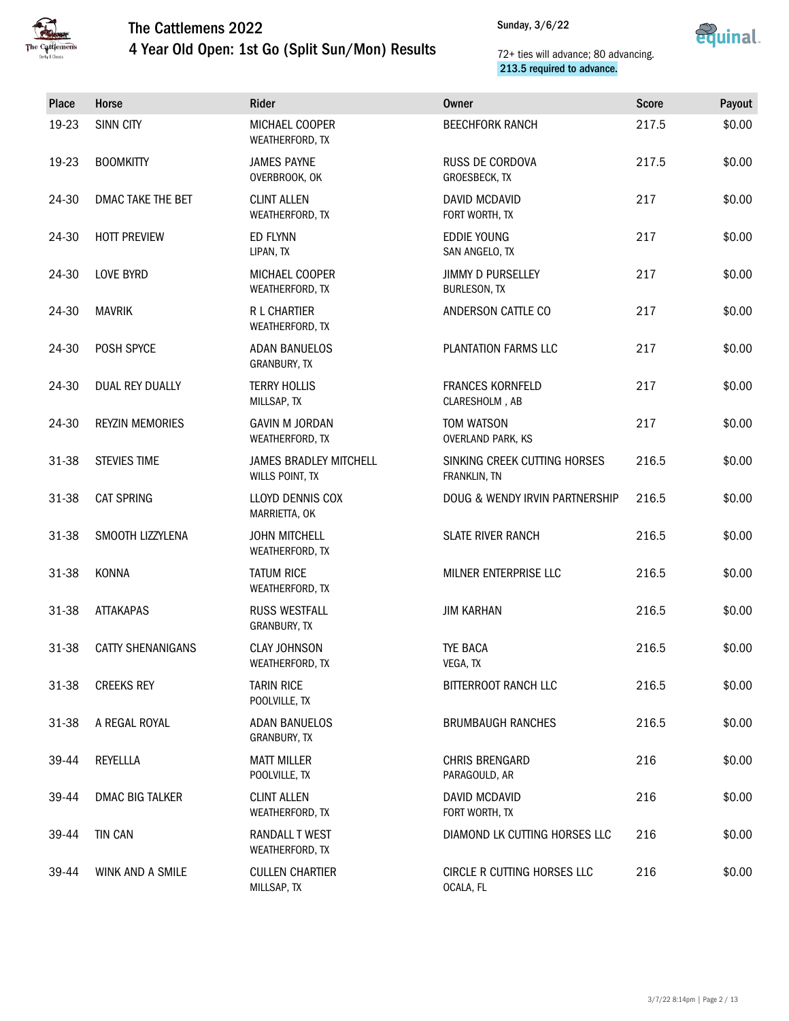



| Place | Horse                    | Rider                                            | <b>Owner</b>                                    | <b>Score</b> | Payout |
|-------|--------------------------|--------------------------------------------------|-------------------------------------------------|--------------|--------|
| 19-23 | <b>SINN CITY</b>         | MICHAEL COOPER<br>WEATHERFORD, TX                | <b>BEECHFORK RANCH</b>                          | 217.5        | \$0.00 |
| 19-23 | <b>BOOMKITTY</b>         | <b>JAMES PAYNE</b><br>OVERBROOK, OK              | RUSS DE CORDOVA<br>GROESBECK, TX                | 217.5        | \$0.00 |
| 24-30 | DMAC TAKE THE BET        | <b>CLINT ALLEN</b><br>WEATHERFORD, TX            | DAVID MCDAVID<br>FORT WORTH, TX                 | 217          | \$0.00 |
| 24-30 | <b>HOTT PREVIEW</b>      | <b>ED FLYNN</b><br>LIPAN, TX                     | <b>EDDIE YOUNG</b><br>SAN ANGELO, TX            | 217          | \$0.00 |
| 24-30 | <b>LOVE BYRD</b>         | MICHAEL COOPER<br>WEATHERFORD, TX                | <b>JIMMY D PURSELLEY</b><br><b>BURLESON, TX</b> | 217          | \$0.00 |
| 24-30 | <b>MAVRIK</b>            | R L CHARTIER<br>WEATHERFORD, TX                  | ANDERSON CATTLE CO                              | 217          | \$0.00 |
| 24-30 | POSH SPYCE               | <b>ADAN BANUELOS</b><br>GRANBURY, TX             | PLANTATION FARMS LLC                            | 217          | \$0.00 |
| 24-30 | DUAL REY DUALLY          | <b>TERRY HOLLIS</b><br>MILLSAP, TX               | FRANCES KORNFELD<br>CLARESHOLM, AB              | 217          | \$0.00 |
| 24-30 | <b>REYZIN MEMORIES</b>   | <b>GAVIN M JORDAN</b><br>WEATHERFORD, TX         | TOM WATSON<br><b>OVERLAND PARK, KS</b>          | 217          | \$0.00 |
| 31-38 | <b>STEVIES TIME</b>      | <b>JAMES BRADLEY MITCHELL</b><br>WILLS POINT, TX | SINKING CREEK CUTTING HORSES<br>FRANKLIN, TN    | 216.5        | \$0.00 |
| 31-38 | <b>CAT SPRING</b>        | LLOYD DENNIS COX<br>MARRIETTA, OK                | DOUG & WENDY IRVIN PARTNERSHIP                  | 216.5        | \$0.00 |
| 31-38 | SMOOTH LIZZYLENA         | <b>JOHN MITCHELL</b><br>WEATHERFORD, TX          | <b>SLATE RIVER RANCH</b>                        | 216.5        | \$0.00 |
| 31-38 | KONNA                    | <b>TATUM RICE</b><br>WEATHERFORD, TX             | MILNER ENTERPRISE LLC                           | 216.5        | \$0.00 |
| 31-38 | <b>ATTAKAPAS</b>         | <b>RUSS WESTFALL</b><br>GRANBURY, TX             | <b>JIM KARHAN</b>                               | 216.5        | \$0.00 |
| 31-38 | <b>CATTY SHENANIGANS</b> | <b>CLAY JOHNSON</b><br>WEATHERFORD, TX           | TYE BACA<br>VEGA, TX                            | 216.5        | \$0.00 |
| 31-38 | <b>CREEKS REY</b>        | <b>TARIN RICE</b><br>POOLVILLE, TX               | BITTERROOT RANCH LLC                            | 216.5        | \$0.00 |
| 31-38 | A REGAL ROYAL            | <b>ADAN BANUELOS</b><br>GRANBURY, TX             | <b>BRUMBAUGH RANCHES</b>                        | 216.5        | \$0.00 |
| 39-44 | REYELLLA                 | <b>MATT MILLER</b><br>POOLVILLE, TX              | <b>CHRIS BRENGARD</b><br>PARAGOULD, AR          | 216          | \$0.00 |
| 39-44 | <b>DMAC BIG TALKER</b>   | <b>CLINT ALLEN</b><br>WEATHERFORD, TX            | DAVID MCDAVID<br>FORT WORTH, TX                 | 216          | \$0.00 |
| 39-44 | <b>TIN CAN</b>           | RANDALL T WEST<br>WEATHERFORD, TX                | DIAMOND LK CUTTING HORSES LLC                   | 216          | \$0.00 |
| 39-44 | WINK AND A SMILE         | <b>CULLEN CHARTIER</b><br>MILLSAP, TX            | CIRCLE R CUTTING HORSES LLC<br>OCALA, FL        | 216          | \$0.00 |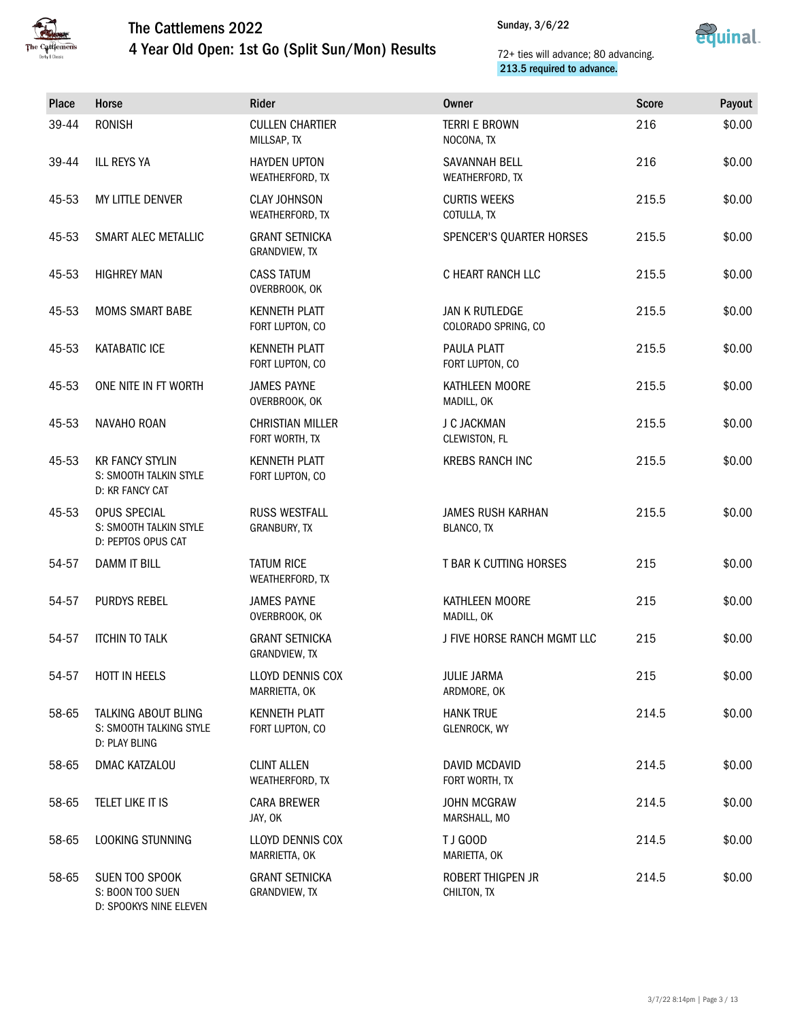

### The Cattlemens 2022 4 Year Old Open: 1st Go (Split Sun/Mon) Results



| <b>Place</b> | Horse                                                               | Rider                                     | <b>Owner</b>                                 | <b>Score</b> | Payout |
|--------------|---------------------------------------------------------------------|-------------------------------------------|----------------------------------------------|--------------|--------|
| 39-44        | <b>RONISH</b>                                                       | <b>CULLEN CHARTIER</b><br>MILLSAP, TX     | <b>TERRI E BROWN</b><br>NOCONA, TX           | 216          | \$0.00 |
| 39-44        | <b>ILL REYS YA</b>                                                  | <b>HAYDEN UPTON</b><br>WEATHERFORD, TX    | SAVANNAH BELL<br>WEATHERFORD, TX             | 216          | \$0.00 |
| 45-53        | MY LITTLE DENVER                                                    | <b>CLAY JOHNSON</b><br>WEATHERFORD, TX    | <b>CURTIS WEEKS</b><br>COTULLA, TX           | 215.5        | \$0.00 |
| 45-53        | SMART ALEC METALLIC                                                 | <b>GRANT SETNICKA</b><br>GRANDVIEW, TX    | <b>SPENCER'S QUARTER HORSES</b>              | 215.5        | \$0.00 |
| 45-53        | <b>HIGHREY MAN</b>                                                  | <b>CASS TATUM</b><br>OVERBROOK, OK        | C HEART RANCH LLC                            | 215.5        | \$0.00 |
| 45-53        | <b>MOMS SMART BABE</b>                                              | <b>KENNETH PLATT</b><br>FORT LUPTON, CO   | <b>JAN K RUTLEDGE</b><br>COLORADO SPRING, CO | 215.5        | \$0.00 |
| 45-53        | <b>KATABATIC ICE</b>                                                | <b>KENNETH PLATT</b><br>FORT LUPTON, CO   | PAULA PLATT<br>FORT LUPTON, CO               | 215.5        | \$0.00 |
| 45-53        | ONE NITE IN FT WORTH                                                | <b>JAMES PAYNE</b><br>OVERBROOK, OK       | KATHLEEN MOORE<br>MADILL, OK                 | 215.5        | \$0.00 |
| 45-53        | NAVAHO ROAN                                                         | <b>CHRISTIAN MILLER</b><br>FORT WORTH, TX | J C JACKMAN<br>CLEWISTON, FL                 | 215.5        | \$0.00 |
| 45-53        | <b>KR FANCY STYLIN</b><br>S: SMOOTH TALKIN STYLE<br>D: KR FANCY CAT | <b>KENNETH PLATT</b><br>FORT LUPTON, CO   | <b>KREBS RANCH INC</b>                       | 215.5        | \$0.00 |
| 45-53        | OPUS SPECIAL<br>S: SMOOTH TALKIN STYLE<br>D: PEPTOS OPUS CAT        | <b>RUSS WESTFALL</b><br>GRANBURY, TX      | <b>JAMES RUSH KARHAN</b><br>BLANCO, TX       | 215.5        | \$0.00 |
| 54-57        | <b>DAMM IT BILL</b>                                                 | <b>TATUM RICE</b><br>WEATHERFORD, TX      | T BAR K CUTTING HORSES                       | 215          | \$0.00 |
| 54-57        | PURDYS REBEL                                                        | <b>JAMES PAYNE</b><br>OVERBROOK, OK       | KATHLEEN MOORE<br>MADILL, OK                 | 215          | \$0.00 |
| 54-57        | <b>ITCHIN TO TALK</b>                                               | <b>GRANT SETNICKA</b><br>GRANDVIEW, TX    | J FIVE HORSE RANCH MGMT LLC                  | 215          | \$0.00 |
| 54-57        | HOTT IN HEELS                                                       | LLOYD DENNIS COX<br>MARRIETTA, OK         | <b>JULIE JARMA</b><br>ARDMORE, OK            | 215          | \$0.00 |
| 58-65        | TALKING ABOUT BLING<br>S: SMOOTH TALKING STYLE<br>D: PLAY BLING     | <b>KENNETH PLATT</b><br>FORT LUPTON, CO   | <b>HANK TRUE</b><br>GLENROCK, WY             | 214.5        | \$0.00 |
| 58-65        | DMAC KATZALOU                                                       | <b>CLINT ALLEN</b><br>WEATHERFORD, TX     | DAVID MCDAVID<br>FORT WORTH, TX              | 214.5        | \$0.00 |
| 58-65        | TELET LIKE IT IS                                                    | <b>CARA BREWER</b><br>JAY, OK             | <b>JOHN MCGRAW</b><br>MARSHALL, MO           | 214.5        | \$0.00 |
| 58-65        | LOOKING STUNNING                                                    | LLOYD DENNIS COX<br>MARRIETTA, OK         | TJ GOOD<br>MARIETTA, OK                      | 214.5        | \$0.00 |
| 58-65        | SUEN TOO SPOOK<br>S: BOON TOO SUEN<br>D: SPOOKYS NINE ELEVEN        | <b>GRANT SETNICKA</b><br>GRANDVIEW, TX    | ROBERT THIGPEN JR<br>CHILTON, TX             | 214.5        | \$0.00 |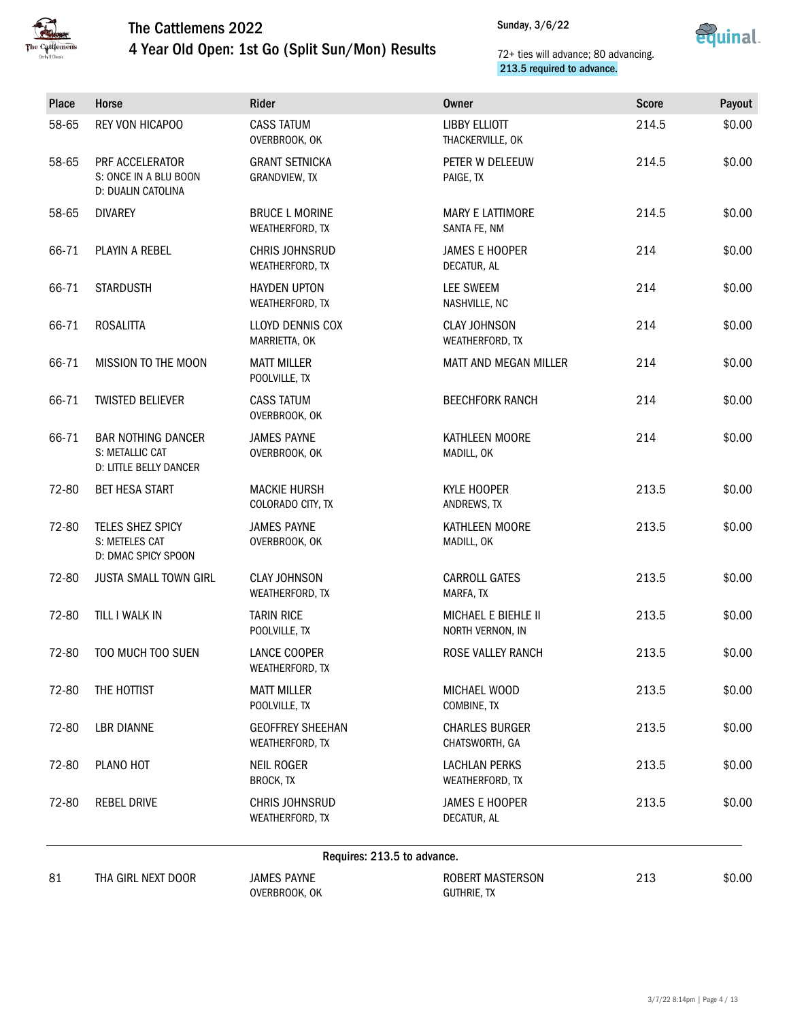



| Place | Horse                                                                  | Rider                                      | <b>Owner</b>                             | <b>Score</b> | Payout |
|-------|------------------------------------------------------------------------|--------------------------------------------|------------------------------------------|--------------|--------|
| 58-65 | REY VON HICAPOO                                                        | <b>CASS TATUM</b><br>OVERBROOK, OK         | <b>LIBBY ELLIOTT</b><br>THACKERVILLE, OK | 214.5        | \$0.00 |
| 58-65 | PRF ACCELERATOR<br>S: ONCE IN A BLU BOON<br>D: DUALIN CATOLINA         | <b>GRANT SETNICKA</b><br>GRANDVIEW, TX     | PETER W DELEEUW<br>PAIGE, TX             | 214.5        | \$0.00 |
| 58-65 | <b>DIVAREY</b>                                                         | <b>BRUCE L MORINE</b><br>WEATHERFORD, TX   | <b>MARY E LATTIMORE</b><br>SANTA FE, NM  | 214.5        | \$0.00 |
| 66-71 | PLAYIN A REBEL                                                         | <b>CHRIS JOHNSRUD</b><br>WEATHERFORD, TX   | <b>JAMES E HOOPER</b><br>DECATUR, AL     | 214          | \$0.00 |
| 66-71 | <b>STARDUSTH</b>                                                       | <b>HAYDEN UPTON</b><br>WEATHERFORD, TX     | LEE SWEEM<br>NASHVILLE, NC               | 214          | \$0.00 |
| 66-71 | <b>ROSALITTA</b>                                                       | LLOYD DENNIS COX<br>MARRIETTA, OK          | <b>CLAY JOHNSON</b><br>WEATHERFORD, TX   | 214          | \$0.00 |
| 66-71 | MISSION TO THE MOON                                                    | <b>MATT MILLER</b><br>POOLVILLE, TX        | MATT AND MEGAN MILLER                    | 214          | \$0.00 |
| 66-71 | <b>TWISTED BELIEVER</b>                                                | <b>CASS TATUM</b><br>OVERBROOK, OK         | <b>BEECHFORK RANCH</b>                   | 214          | \$0.00 |
| 66-71 | <b>BAR NOTHING DANCER</b><br>S: METALLIC CAT<br>D: LITTLE BELLY DANCER | <b>JAMES PAYNE</b><br>OVERBROOK, OK        | KATHLEEN MOORE<br>MADILL, OK             | 214          | \$0.00 |
| 72-80 | <b>BET HESA START</b>                                                  | <b>MACKIE HURSH</b><br>COLORADO CITY, TX   | KYLE HOOPER<br>ANDREWS, TX               | 213.5        | \$0.00 |
| 72-80 | TELES SHEZ SPICY<br>S: METELES CAT<br>D: DMAC SPICY SPOON              | <b>JAMES PAYNE</b><br>OVERBROOK, OK        | KATHLEEN MOORE<br>MADILL, OK             | 213.5        | \$0.00 |
| 72-80 | <b>JUSTA SMALL TOWN GIRL</b>                                           | <b>CLAY JOHNSON</b><br>WEATHERFORD, TX     | <b>CARROLL GATES</b><br>MARFA, TX        | 213.5        | \$0.00 |
| 72-80 | TILL I WALK IN                                                         | <b>TARIN RICE</b><br>POOLVILLE, TX         | MICHAEL E BIEHLE II<br>NORTH VERNON, IN  | 213.5        | \$0.00 |
| 72-80 | TOO MUCH TOO SUEN                                                      | LANCE COOPER<br>WEATHERFORD, TX            | ROSE VALLEY RANCH                        | 213.5        | \$0.00 |
| 72-80 | THE HOTTIST                                                            | <b>MATT MILLER</b><br>POOLVILLE, TX        | MICHAEL WOOD<br>COMBINE, TX              | 213.5        | \$0.00 |
| 72-80 | <b>LBR DIANNE</b>                                                      | <b>GEOFFREY SHEEHAN</b><br>WEATHERFORD, TX | <b>CHARLES BURGER</b><br>CHATSWORTH, GA  | 213.5        | \$0.00 |
| 72-80 | PLANO HOT                                                              | <b>NEIL ROGER</b><br>BROCK, TX             | <b>LACHLAN PERKS</b><br>WEATHERFORD, TX  | 213.5        | \$0.00 |
| 72-80 | <b>REBEL DRIVE</b>                                                     | CHRIS JOHNSRUD<br>WEATHERFORD, TX          | <b>JAMES E HOOPER</b><br>DECATUR, AL     | 213.5        | \$0.00 |
|       |                                                                        | Requires: 213.5 to advance.                |                                          |              |        |
| 81    | THA GIRL NEXT DOOR                                                     | <b>JAMES PAYNE</b><br>OVERBROOK, OK        | ROBERT MASTERSON<br><b>GUTHRIE, TX</b>   | 213          | \$0.00 |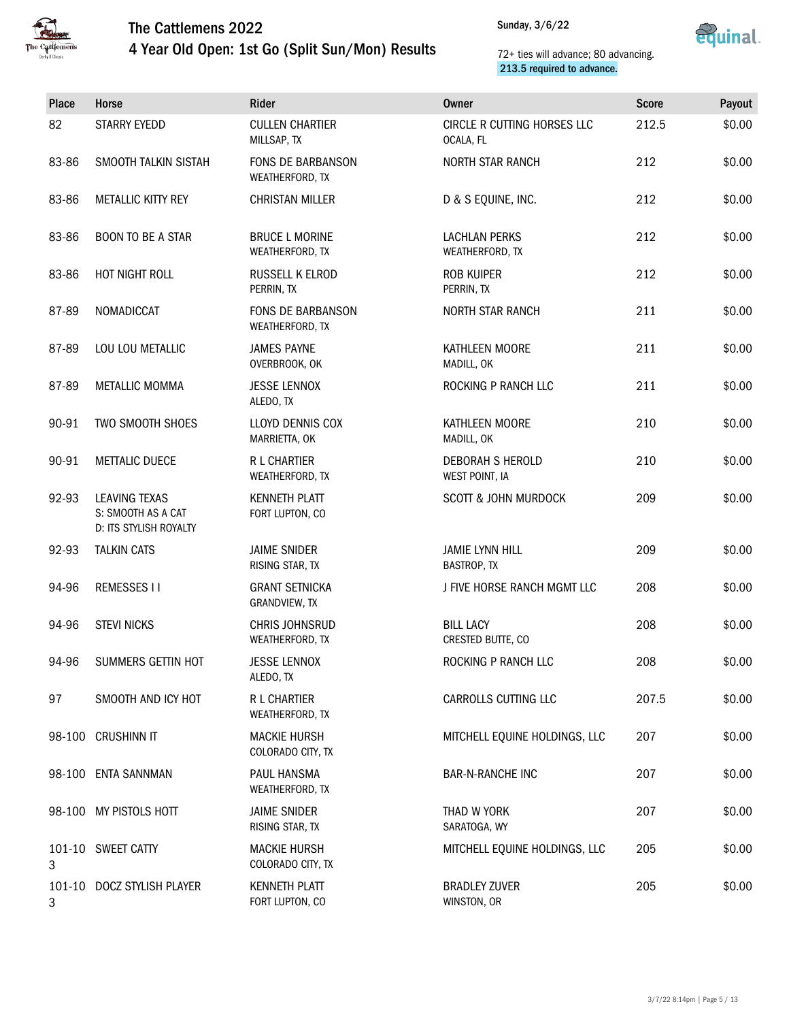



| <b>Place</b> | Horse                                                         | Rider                                       | <b>Owner</b>                             | <b>Score</b> | Payout |
|--------------|---------------------------------------------------------------|---------------------------------------------|------------------------------------------|--------------|--------|
| 82           | <b>STARRY EYEDD</b>                                           | <b>CULLEN CHARTIER</b><br>MILLSAP, TX       | CIRCLE R CUTTING HORSES LLC<br>OCALA, FL | 212.5        | \$0.00 |
| 83-86        | SMOOTH TALKIN SISTAH                                          | <b>FONS DE BARBANSON</b><br>WEATHERFORD, TX | <b>NORTH STAR RANCH</b>                  | 212          | \$0.00 |
| 83-86        | METALLIC KITTY REY                                            | <b>CHRISTAN MILLER</b>                      | D & S EQUINE, INC.                       | 212          | \$0.00 |
| 83-86        | <b>BOON TO BE A STAR</b>                                      | <b>BRUCE L MORINE</b><br>WEATHERFORD, TX    | <b>LACHLAN PERKS</b><br>WEATHERFORD, TX  | 212          | \$0.00 |
| 83-86        | HOT NIGHT ROLL                                                | <b>RUSSELL K ELROD</b><br>PERRIN, TX        | <b>ROB KUIPER</b><br>PERRIN, TX          | 212          | \$0.00 |
| 87-89        | NOMADICCAT                                                    | FONS DE BARBANSON<br>WEATHERFORD, TX        | <b>NORTH STAR RANCH</b>                  | 211          | \$0.00 |
| 87-89        | LOU LOU METALLIC                                              | <b>JAMES PAYNE</b><br>OVERBROOK, OK         | KATHLEEN MOORE<br>MADILL, OK             | 211          | \$0.00 |
| 87-89        | METALLIC MOMMA                                                | <b>JESSE LENNOX</b><br>ALEDO, TX            | ROCKING P RANCH LLC                      | 211          | \$0.00 |
| 90-91        | TWO SMOOTH SHOES                                              | <b>LLOYD DENNIS COX</b><br>MARRIETTA, OK    | KATHLEEN MOORE<br>MADILL, OK             | 210          | \$0.00 |
| 90-91        | <b>METTALIC DUECE</b>                                         | <b>R L CHARTIER</b><br>WEATHERFORD, TX      | DEBORAH S HEROLD<br>WEST POINT, IA       | 210          | \$0.00 |
| 92-93        | LEAVING TEXAS<br>S: SMOOTH AS A CAT<br>D: ITS STYLISH ROYALTY | <b>KENNETH PLATT</b><br>FORT LUPTON, CO     | <b>SCOTT &amp; JOHN MURDOCK</b>          | 209          | \$0.00 |
| 92-93        | <b>TALKIN CATS</b>                                            | <b>JAIME SNIDER</b><br>RISING STAR, TX      | <b>JAMIE LYNN HILL</b><br>BASTROP, TX    | 209          | \$0.00 |
| 94-96        | <b>REMESSES II</b>                                            | <b>GRANT SETNICKA</b><br>GRANDVIEW, TX      | J FIVE HORSE RANCH MGMT LLC              | 208          | \$0.00 |
| 94-96        | <b>STEVI NICKS</b>                                            | <b>CHRIS JOHNSRUD</b><br>WEATHERFORD, TX    | <b>BILL LACY</b><br>CRESTED BUTTE, CO    | 208          | \$0.00 |
| 94-96        | SUMMERS GETTIN HOT                                            | <b>JESSE LENNOX</b><br>ALEDO, TX            | ROCKING P RANCH LLC                      | 208          | \$0.00 |
| 97           | SMOOTH AND ICY HOT                                            | R L CHARTIER<br>WEATHERFORD, TX             | CARROLLS CUTTING LLC                     | 207.5        | \$0.00 |
|              | 98-100 CRUSHINN IT                                            | <b>MACKIE HURSH</b><br>COLORADO CITY, TX    | MITCHELL EQUINE HOLDINGS, LLC            | 207          | \$0.00 |
|              | 98-100 ENTA SANNMAN                                           | PAUL HANSMA<br>WEATHERFORD, TX              | <b>BAR-N-RANCHE INC</b>                  | 207          | \$0.00 |
|              | 98-100 MY PISTOLS HOTT                                        | <b>JAIME SNIDER</b><br>RISING STAR, TX      | THAD W YORK<br>SARATOGA, WY              | 207          | \$0.00 |
| 3            | 101-10 SWEET CATTY                                            | <b>MACKIE HURSH</b><br>COLORADO CITY, TX    | MITCHELL EQUINE HOLDINGS, LLC            | 205          | \$0.00 |
| 3            | 101-10 DOCZ STYLISH PLAYER                                    | <b>KENNETH PLATT</b><br>FORT LUPTON, CO     | <b>BRADLEY ZUVER</b><br>WINSTON, OR      | 205          | \$0.00 |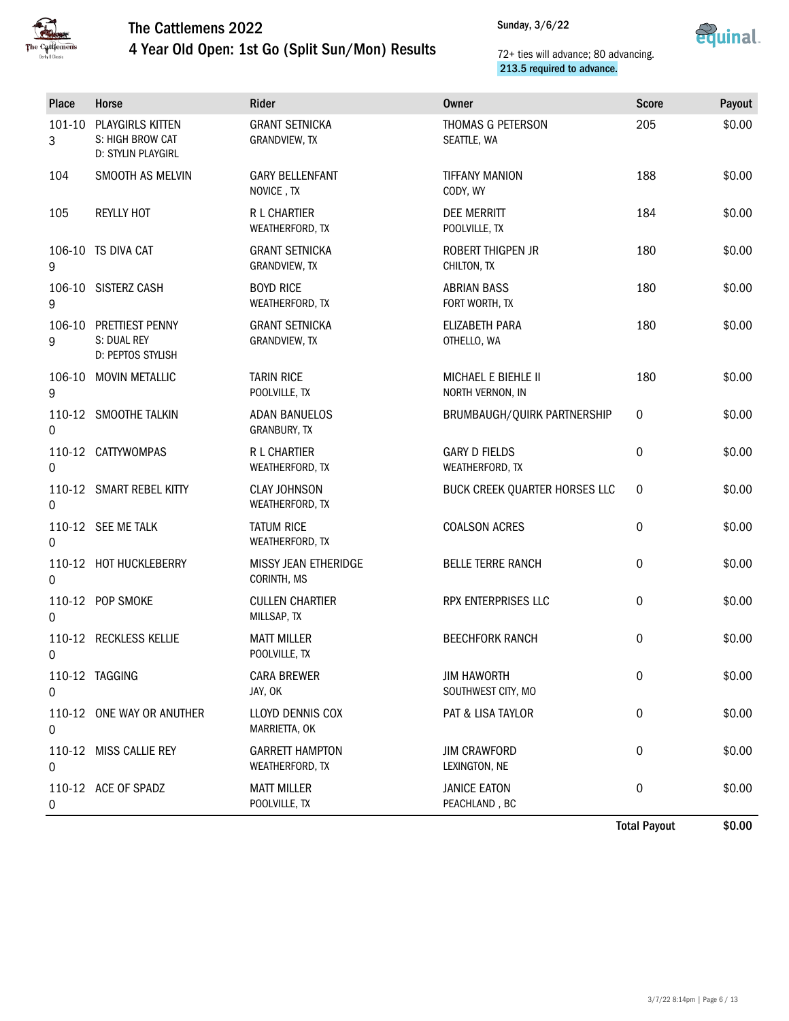

4 Year Old Open: 1st Go (Split Sun/Mon) Results



### 72+ ties will advance; 80 advancing. 213.5 required to advance.

| Place       | Horse                                                      | Rider                                     | <b>Owner</b>                             | <b>Score</b> | Payout |
|-------------|------------------------------------------------------------|-------------------------------------------|------------------------------------------|--------------|--------|
| 101-10<br>3 | PLAYGIRLS KITTEN<br>S: HIGH BROW CAT<br>D: STYLIN PLAYGIRL | <b>GRANT SETNICKA</b><br>GRANDVIEW, TX    | THOMAS G PETERSON<br>SEATTLE, WA         | 205          | \$0.00 |
| 104         | SMOOTH AS MELVIN                                           | <b>GARY BELLENFANT</b><br>NOVICE, TX      | <b>TIFFANY MANION</b><br>CODY, WY        | 188          | \$0.00 |
| 105         | <b>REYLLY HOT</b>                                          | R L CHARTIER<br>WEATHERFORD, TX           | DEE MERRITT<br>POOLVILLE, TX             | 184          | \$0.00 |
| 9           | 106-10 TS DIVA CAT                                         | <b>GRANT SETNICKA</b><br>GRANDVIEW, TX    | ROBERT THIGPEN JR<br>CHILTON, TX         | 180          | \$0.00 |
| 9           | 106-10 SISTERZ CASH                                        | <b>BOYD RICE</b><br>WEATHERFORD, TX       | <b>ABRIAN BASS</b><br>FORT WORTH, TX     | 180          | \$0.00 |
| 9           | 106-10 PRETTIEST PENNY<br>S: DUAL REY<br>D: PEPTOS STYLISH | <b>GRANT SETNICKA</b><br>GRANDVIEW, TX    | ELIZABETH PARA<br>OTHELLO, WA            | 180          | \$0.00 |
| 9           | 106-10 MOVIN METALLIC                                      | <b>TARIN RICE</b><br>POOLVILLE, TX        | MICHAEL E BIEHLE II<br>NORTH VERNON, IN  | 180          | \$0.00 |
| 0           | 110-12 SMOOTHE TALKIN                                      | <b>ADAN BANUELOS</b><br>GRANBURY, TX      | BRUMBAUGH/QUIRK PARTNERSHIP              | 0            | \$0.00 |
| 0           | 110-12 CATTYWOMPAS                                         | R L CHARTIER<br>WEATHERFORD, TX           | <b>GARY D FIELDS</b><br>WEATHERFORD, TX  | 0            | \$0.00 |
| 0           | 110-12 SMART REBEL KITTY                                   | <b>CLAY JOHNSON</b><br>WEATHERFORD, TX    | BUCK CREEK QUARTER HORSES LLC            | 0            | \$0.00 |
| 0           | 110-12 SEE ME TALK                                         | <b>TATUM RICE</b><br>WEATHERFORD, TX      | <b>COALSON ACRES</b>                     | 0            | \$0.00 |
| 0           | 110-12 HOT HUCKLEBERRY                                     | MISSY JEAN ETHERIDGE<br>CORINTH, MS       | <b>BELLE TERRE RANCH</b>                 | 0            | \$0.00 |
| 0           | 110-12 POP SMOKE                                           | <b>CULLEN CHARTIER</b><br>MILLSAP, TX     | RPX ENTERPRISES LLC                      | $\pmb{0}$    | \$0.00 |
| 0           | 110-12 RECKLESS KELLIE                                     | <b>MATT MILLER</b><br>POOLVILLE, TX       | <b>BEECHFORK RANCH</b>                   | 0            | \$0.00 |
| 0           | 110-12 TAGGING                                             | <b>CARA BREWER</b><br>JAY, OK             | <b>JIM HAWORTH</b><br>SOUTHWEST CITY, MO | 0            | \$0.00 |
| 0           | 110-12 ONE WAY OR ANUTHER                                  | LLOYD DENNIS COX<br>MARRIETTA, OK         | PAT & LISA TAYLOR                        | 0            | \$0.00 |
| 0           | 110-12 MISS CALLIE REY                                     | <b>GARRETT HAMPTON</b><br>WEATHERFORD, TX | <b>JIM CRAWFORD</b><br>LEXINGTON, NE     | 0            | \$0.00 |
| 0           | 110-12 ACE OF SPADZ                                        | MATT MILLER<br>POOLVILLE, TX              | <b>JANICE EATON</b><br>PEACHLAND, BC     | 0            | \$0.00 |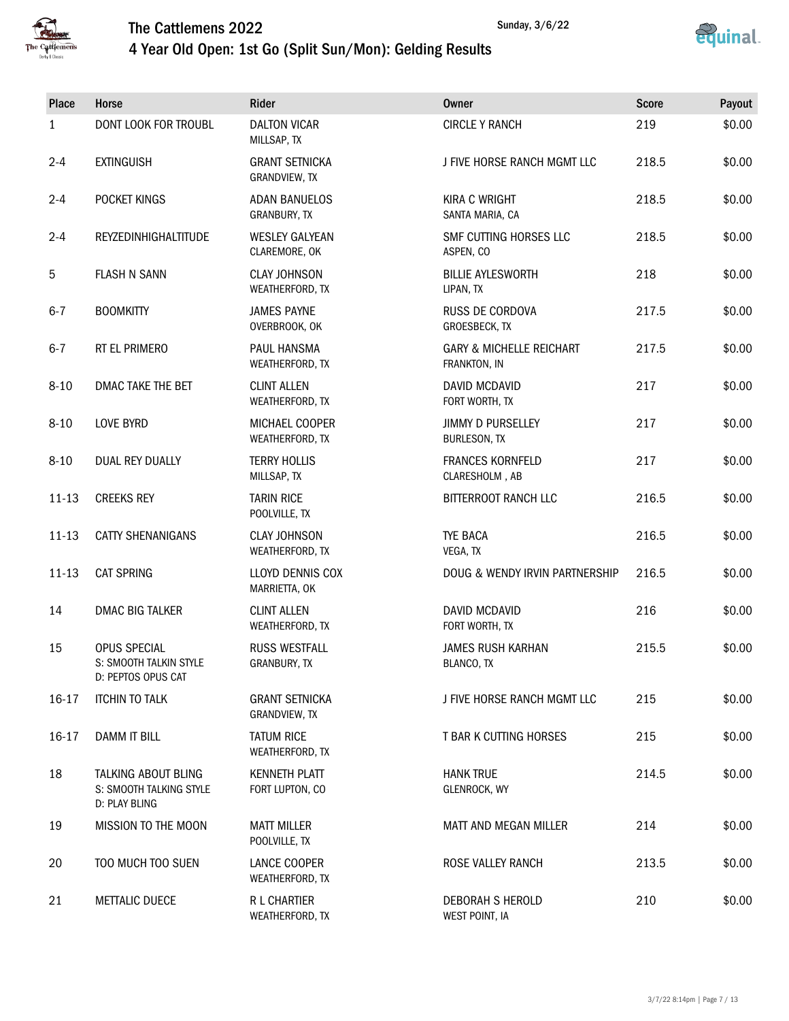



Sunday, 3/6/22

| 4 Year Old Open: 1st Go (Split Sun/Mon): Gelding Results |  |
|----------------------------------------------------------|--|
|----------------------------------------------------------|--|

| Place        | Horse                                                           | Rider                                   | <b>Owner</b>                                        | <b>Score</b> | Payout |
|--------------|-----------------------------------------------------------------|-----------------------------------------|-----------------------------------------------------|--------------|--------|
| $\mathbf{1}$ | DONT LOOK FOR TROUBL                                            | <b>DALTON VICAR</b><br>MILLSAP, TX      | <b>CIRCLE Y RANCH</b>                               | 219          | \$0.00 |
| $2 - 4$      | <b>EXTINGUISH</b>                                               | <b>GRANT SETNICKA</b><br>GRANDVIEW, TX  | J FIVE HORSE RANCH MGMT LLC                         | 218.5        | \$0.00 |
| $2 - 4$      | POCKET KINGS                                                    | <b>ADAN BANUELOS</b><br>GRANBURY, TX    | <b>KIRA C WRIGHT</b><br>SANTA MARIA, CA             | 218.5        | \$0.00 |
| $2 - 4$      | REYZEDINHIGHALTITUDE                                            | <b>WESLEY GALYEAN</b><br>CLAREMORE, OK  | SMF CUTTING HORSES LLC<br>ASPEN, CO                 | 218.5        | \$0.00 |
| 5            | <b>FLASH N SANN</b>                                             | <b>CLAY JOHNSON</b><br>WEATHERFORD, TX  | <b>BILLIE AYLESWORTH</b><br>LIPAN, TX               | 218          | \$0.00 |
| $6 - 7$      | <b>BOOMKITTY</b>                                                | <b>JAMES PAYNE</b><br>OVERBROOK, OK     | <b>RUSS DE CORDOVA</b><br>GROESBECK, TX             | 217.5        | \$0.00 |
| $6 - 7$      | RT EL PRIMERO                                                   | PAUL HANSMA<br>WEATHERFORD, TX          | <b>GARY &amp; MICHELLE REICHART</b><br>FRANKTON, IN | 217.5        | \$0.00 |
| $8 - 10$     | DMAC TAKE THE BET                                               | <b>CLINT ALLEN</b><br>WEATHERFORD, TX   | <b>DAVID MCDAVID</b><br>FORT WORTH, TX              | 217          | \$0.00 |
| $8 - 10$     | <b>LOVE BYRD</b>                                                | MICHAEL COOPER<br>WEATHERFORD, TX       | <b>JIMMY D PURSELLEY</b><br>BURLESON, TX            | 217          | \$0.00 |
| $8 - 10$     | <b>DUAL REY DUALLY</b>                                          | <b>TERRY HOLLIS</b><br>MILLSAP, TX      | <b>FRANCES KORNFELD</b><br>CLARESHOLM, AB           | 217          | \$0.00 |
| $11 - 13$    | <b>CREEKS REY</b>                                               | <b>TARIN RICE</b><br>POOLVILLE, TX      | BITTERROOT RANCH LLC                                | 216.5        | \$0.00 |
| $11 - 13$    | CATTY SHENANIGANS                                               | <b>CLAY JOHNSON</b><br>WEATHERFORD, TX  | TYE BACA<br>VEGA, TX                                | 216.5        | \$0.00 |
| $11 - 13$    | <b>CAT SPRING</b>                                               | LLOYD DENNIS COX<br>MARRIETTA, OK       | DOUG & WENDY IRVIN PARTNERSHIP                      | 216.5        | \$0.00 |
| 14           | <b>DMAC BIG TALKER</b>                                          | <b>CLINT ALLEN</b><br>WEATHERFORD, TX   | <b>DAVID MCDAVID</b><br>FORT WORTH, TX              | 216          | \$0.00 |
| 15           | OPUS SPECIAL<br>S: SMOOTH TALKIN STYLE<br>D: PEPTOS OPUS CAT    | <b>RUSS WESTFALL</b><br>GRANBURY, TX    | <b>JAMES RUSH KARHAN</b><br>BLANCO, TX              | 215.5        | \$0.00 |
| 16-17        | <b>ITCHIN TO TALK</b>                                           | <b>GRANT SETNICKA</b><br>GRANDVIEW, TX  | J FIVE HORSE RANCH MGMT LLC                         | 215          | \$0.00 |
| 16-17        | DAMM IT BILL                                                    | <b>TATUM RICE</b><br>WEATHERFORD, TX    | T BAR K CUTTING HORSES                              | 215          | \$0.00 |
| 18           | TALKING ABOUT BLING<br>S: SMOOTH TALKING STYLE<br>D: PLAY BLING | <b>KENNETH PLATT</b><br>FORT LUPTON, CO | <b>HANK TRUE</b><br>GLENROCK, WY                    | 214.5        | \$0.00 |
| 19           | MISSION TO THE MOON                                             | <b>MATT MILLER</b><br>POOLVILLE, TX     | MATT AND MEGAN MILLER                               | 214          | \$0.00 |
| 20           | TOO MUCH TOO SUEN                                               | LANCE COOPER<br>WEATHERFORD, TX         | ROSE VALLEY RANCH                                   | 213.5        | \$0.00 |
| 21           | <b>METTALIC DUECE</b>                                           | <b>R L CHARTIER</b><br>WEATHERFORD, TX  | DEBORAH S HEROLD<br>WEST POINT, IA                  | 210          | \$0.00 |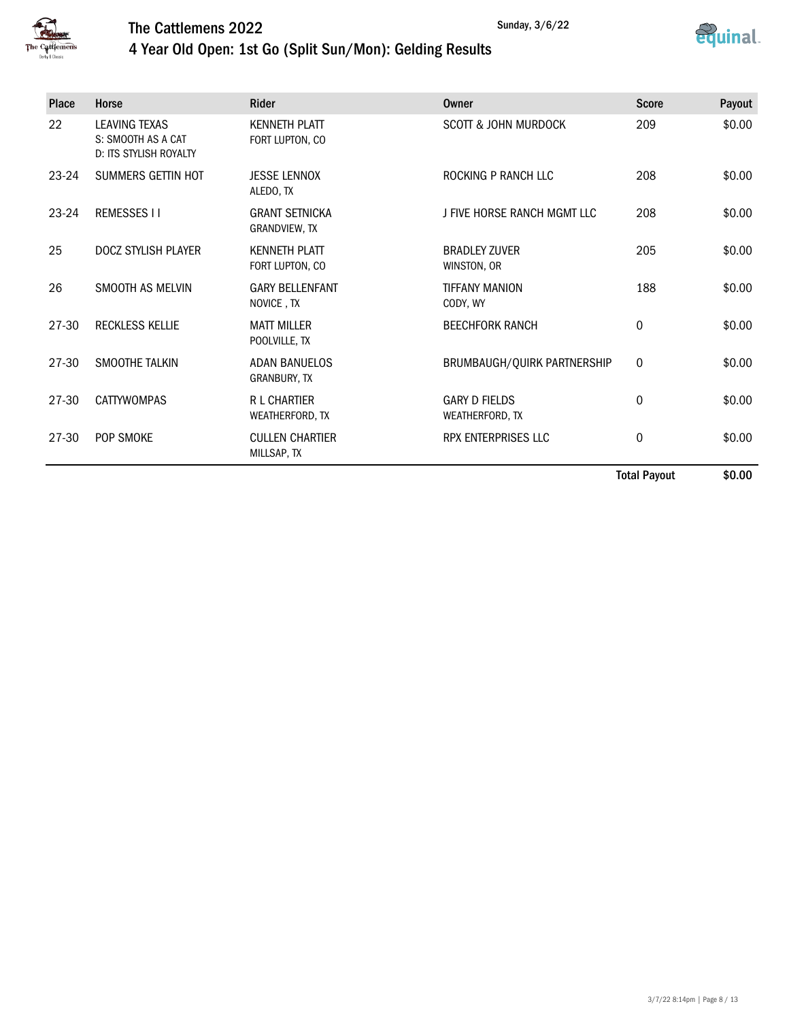



Sunday, 3/6/22

## 4 Year Old Open: 1st Go (Split Sun/Mon): Gelding Results

| Place     | Horse                                                                       | <b>Rider</b>                            | Owner                                   | <b>Score</b>     | Payout        |
|-----------|-----------------------------------------------------------------------------|-----------------------------------------|-----------------------------------------|------------------|---------------|
| 22        | <b>LEAVING TEXAS</b><br>S: SMOOTH AS A CAT<br><b>D: ITS STYLISH ROYALTY</b> | <b>KENNETH PLATT</b><br>FORT LUPTON, CO | <b>SCOTT &amp; JOHN MURDOCK</b>         | 209              | \$0.00        |
| 23-24     | SUMMERS GETTIN HOT                                                          | <b>JESSE LENNOX</b><br>ALEDO, TX        | ROCKING P RANCH LLC                     | 208              | \$0.00        |
| $23 - 24$ | <b>REMESSES II</b>                                                          | <b>GRANT SETNICKA</b><br>GRANDVIEW, TX  | J FIVE HORSE RANCH MGMT LLC             | 208              | \$0.00        |
| 25        | DOCZ STYLISH PLAYER                                                         | <b>KENNETH PLATT</b><br>FORT LUPTON, CO | <b>BRADLEY ZUVER</b><br>WINSTON, OR     | 205              | \$0.00        |
| 26        | SMOOTH AS MELVIN                                                            | <b>GARY BELLENFANT</b><br>NOVICE, TX    | <b>TIFFANY MANION</b><br>CODY, WY       | 188              | \$0.00        |
| 27-30     | <b>RECKLESS KELLIE</b>                                                      | <b>MATT MILLER</b><br>POOLVILLE, TX     | <b>BEECHFORK RANCH</b>                  | 0                | \$0.00        |
| 27-30     | SMOOTHE TALKIN                                                              | <b>ADAN BANUELOS</b><br>GRANBURY, TX    | BRUMBAUGH/QUIRK PARTNERSHIP             | $\boldsymbol{0}$ | \$0.00        |
| 27-30     | <b>CATTYWOMPAS</b>                                                          | <b>R L CHARTIER</b><br>WEATHERFORD, TX  | <b>GARY D FIELDS</b><br>WEATHERFORD, TX | 0                | \$0.00        |
| 27-30     | POP SMOKE                                                                   | <b>CULLEN CHARTIER</b><br>MILLSAP, TX   | RPX ENTERPRISES LLC                     | 0                | \$0.00        |
|           |                                                                             |                                         |                                         | .                | $\sim$ $\sim$ |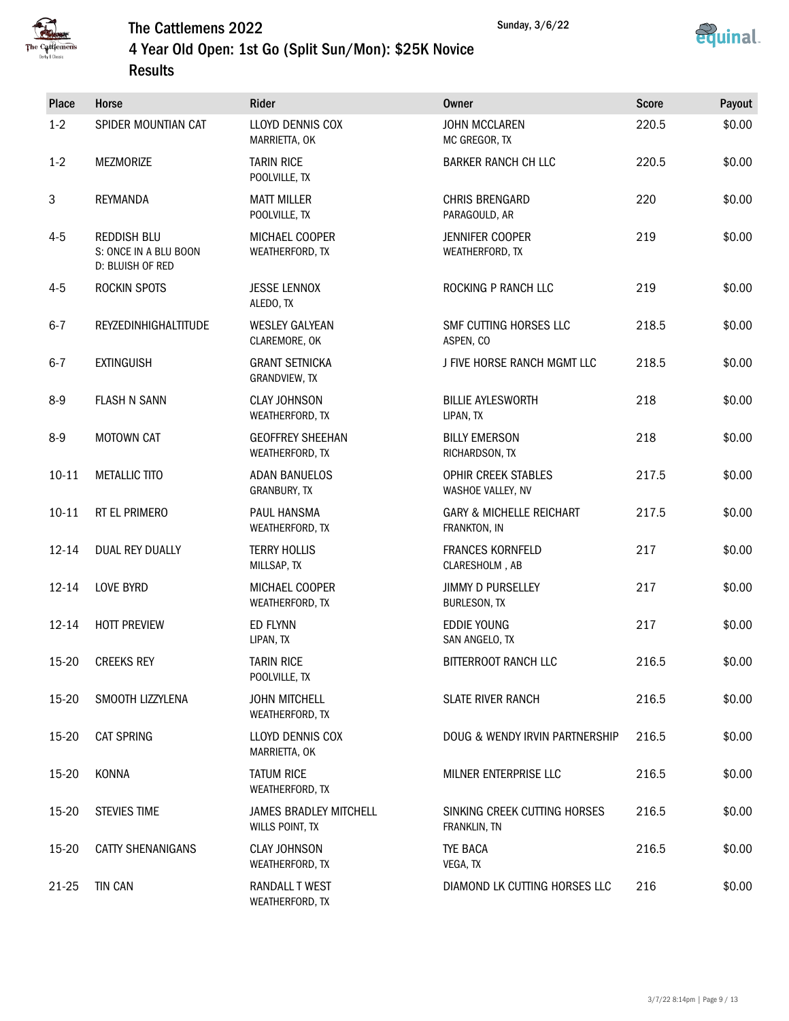



### 4 Year Old Open: 1st Go (Split Sun/Mon): \$25K Novice Results

| Place     | Horse                                                           | Rider                                            | <b>Owner</b>                                        | <b>Score</b> | Payout |
|-----------|-----------------------------------------------------------------|--------------------------------------------------|-----------------------------------------------------|--------------|--------|
| $1-2$     | SPIDER MOUNTIAN CAT                                             | <b>LLOYD DENNIS COX</b><br>MARRIETTA, OK         | <b>JOHN MCCLAREN</b><br>MC GREGOR, TX               | 220.5        | \$0.00 |
| $1-2$     | MEZMORIZE                                                       | <b>TARIN RICE</b><br>POOLVILLE, TX               | <b>BARKER RANCH CH LLC</b>                          | 220.5        | \$0.00 |
| 3         | REYMANDA                                                        | <b>MATT MILLER</b><br>POOLVILLE, TX              | <b>CHRIS BRENGARD</b><br>PARAGOULD, AR              | 220          | \$0.00 |
| $4 - 5$   | <b>REDDISH BLU</b><br>S: ONCE IN A BLU BOON<br>D: BLUISH OF RED | MICHAEL COOPER<br>WEATHERFORD, TX                | <b>JENNIFER COOPER</b><br>WEATHERFORD, TX           | 219          | \$0.00 |
| $4 - 5$   | ROCKIN SPOTS                                                    | <b>JESSE LENNOX</b><br>ALEDO, TX                 | ROCKING P RANCH LLC                                 | 219          | \$0.00 |
| $6 - 7$   | REYZEDINHIGHALTITUDE                                            | <b>WESLEY GALYEAN</b><br>CLAREMORE, OK           | SMF CUTTING HORSES LLC<br>ASPEN, CO                 | 218.5        | \$0.00 |
| $6 - 7$   | <b>EXTINGUISH</b>                                               | <b>GRANT SETNICKA</b><br>GRANDVIEW, TX           | J FIVE HORSE RANCH MGMT LLC                         | 218.5        | \$0.00 |
| $8 - 9$   | <b>FLASH N SANN</b>                                             | <b>CLAY JOHNSON</b><br>WEATHERFORD, TX           | <b>BILLIE AYLESWORTH</b><br>LIPAN, TX               | 218          | \$0.00 |
| $8-9$     | <b>MOTOWN CAT</b>                                               | <b>GEOFFREY SHEEHAN</b><br>WEATHERFORD, TX       | <b>BILLY EMERSON</b><br>RICHARDSON, TX              | 218          | \$0.00 |
| $10 - 11$ | <b>METALLIC TITO</b>                                            | <b>ADAN BANUELOS</b><br>GRANBURY, TX             | OPHIR CREEK STABLES<br>WASHOE VALLEY, NV            | 217.5        | \$0.00 |
| $10 - 11$ | RT EL PRIMERO                                                   | PAUL HANSMA<br>WEATHERFORD, TX                   | <b>GARY &amp; MICHELLE REICHART</b><br>FRANKTON, IN | 217.5        | \$0.00 |
| $12 - 14$ | DUAL REY DUALLY                                                 | <b>TERRY HOLLIS</b><br>MILLSAP, TX               | <b>FRANCES KORNFELD</b><br>CLARESHOLM, AB           | 217          | \$0.00 |
| $12 - 14$ | <b>LOVE BYRD</b>                                                | MICHAEL COOPER<br>WEATHERFORD, TX                | <b>JIMMY D PURSELLEY</b><br><b>BURLESON, TX</b>     | 217          | \$0.00 |
| $12 - 14$ | <b>HOTT PREVIEW</b>                                             | ED FLYNN<br>LIPAN, TX                            | EDDIE YOUNG<br>SAN ANGELO, TX                       | 217          | \$0.00 |
| 15-20     | <b>CREEKS REY</b>                                               | <b>TARIN RICE</b><br>POOLVILLE, TX               | BITTERROOT RANCH LLC                                | 216.5        | \$0.00 |
| 15-20     | SMOOTH LIZZYLENA                                                | <b>JOHN MITCHELL</b><br>WEATHERFORD, TX          | <b>SLATE RIVER RANCH</b>                            | 216.5        | \$0.00 |
| 15-20     | <b>CAT SPRING</b>                                               | LLOYD DENNIS COX<br>MARRIETTA, OK                | DOUG & WENDY IRVIN PARTNERSHIP                      | 216.5        | \$0.00 |
| 15-20     | KONNA                                                           | <b>TATUM RICE</b><br>WEATHERFORD, TX             | MILNER ENTERPRISE LLC                               | 216.5        | \$0.00 |
| 15-20     | <b>STEVIES TIME</b>                                             | <b>JAMES BRADLEY MITCHELL</b><br>WILLS POINT, TX | SINKING CREEK CUTTING HORSES<br>FRANKLIN, TN        | 216.5        | \$0.00 |
| 15-20     | <b>CATTY SHENANIGANS</b>                                        | <b>CLAY JOHNSON</b><br>WEATHERFORD, TX           | TYE BACA<br>VEGA, TX                                | 216.5        | \$0.00 |
| 21-25     | <b>TIN CAN</b>                                                  | RANDALL T WEST<br>WEATHERFORD, TX                | DIAMOND LK CUTTING HORSES LLC                       | 216          | \$0.00 |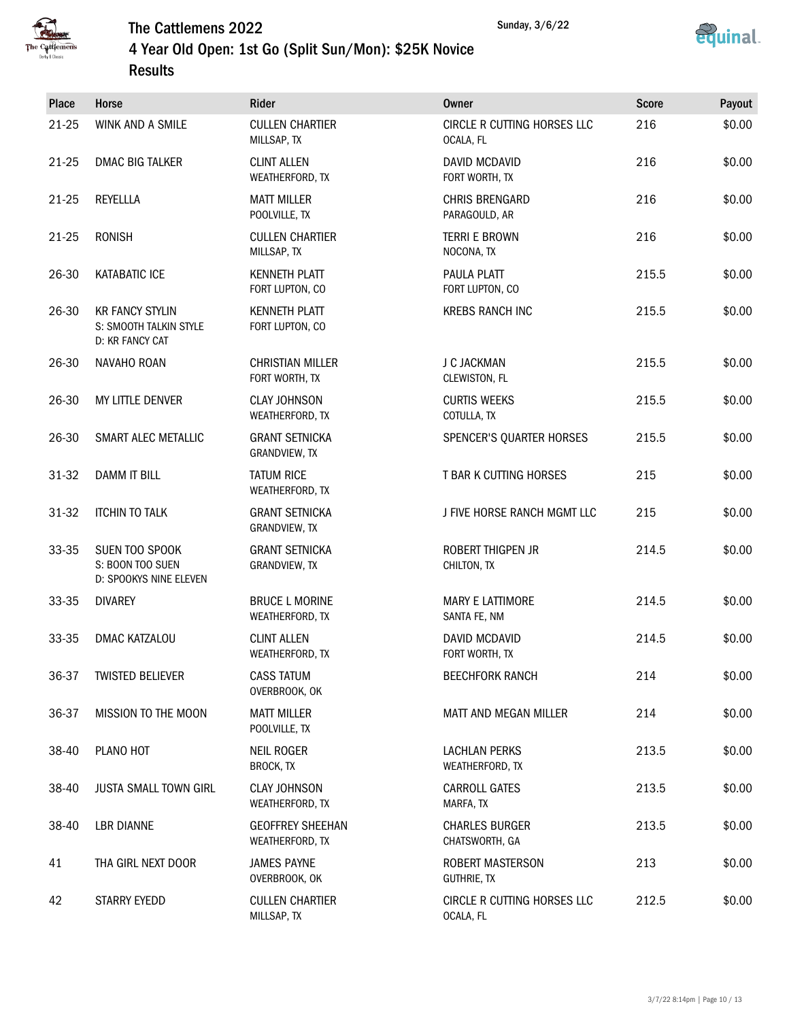



### 4 Year Old Open: 1st Go (Split Sun/Mon): \$25K Novice Results

| Place | Horse                                                               | Rider                                      | Owner                                    | <b>Score</b> | Payout |
|-------|---------------------------------------------------------------------|--------------------------------------------|------------------------------------------|--------------|--------|
| 21-25 | WINK AND A SMILE                                                    | <b>CULLEN CHARTIER</b><br>MILLSAP, TX      | CIRCLE R CUTTING HORSES LLC<br>OCALA, FL | 216          | \$0.00 |
| 21-25 | DMAC BIG TALKER                                                     | <b>CLINT ALLEN</b><br>WEATHERFORD, TX      | DAVID MCDAVID<br>FORT WORTH, TX          | 216          | \$0.00 |
| 21-25 | REYELLLA                                                            | <b>MATT MILLER</b><br>POOLVILLE, TX        | <b>CHRIS BRENGARD</b><br>PARAGOULD, AR   | 216          | \$0.00 |
| 21-25 | <b>RONISH</b>                                                       | <b>CULLEN CHARTIER</b><br>MILLSAP, TX      | <b>TERRI E BROWN</b><br>NOCONA, TX       | 216          | \$0.00 |
| 26-30 | <b>KATABATIC ICE</b>                                                | <b>KENNETH PLATT</b><br>FORT LUPTON, CO    | PAULA PLATT<br>FORT LUPTON, CO           | 215.5        | \$0.00 |
| 26-30 | <b>KR FANCY STYLIN</b><br>S: SMOOTH TALKIN STYLE<br>D: KR FANCY CAT | <b>KENNETH PLATT</b><br>FORT LUPTON, CO    | <b>KREBS RANCH INC</b>                   | 215.5        | \$0.00 |
| 26-30 | NAVAHO ROAN                                                         | <b>CHRISTIAN MILLER</b><br>FORT WORTH, TX  | J C JACKMAN<br>CLEWISTON, FL             | 215.5        | \$0.00 |
| 26-30 | MY LITTLE DENVER                                                    | <b>CLAY JOHNSON</b><br>WEATHERFORD, TX     | <b>CURTIS WEEKS</b><br>COTULLA, TX       | 215.5        | \$0.00 |
| 26-30 | SMART ALEC METALLIC                                                 | <b>GRANT SETNICKA</b><br>GRANDVIEW, TX     | <b>SPENCER'S QUARTER HORSES</b>          | 215.5        | \$0.00 |
| 31-32 | <b>DAMM IT BILL</b>                                                 | <b>TATUM RICE</b><br>WEATHERFORD, TX       | T BAR K CUTTING HORSES                   | 215          | \$0.00 |
| 31-32 | <b>ITCHIN TO TALK</b>                                               | <b>GRANT SETNICKA</b><br>GRANDVIEW, TX     | J FIVE HORSE RANCH MGMT LLC              | 215          | \$0.00 |
| 33-35 | SUEN TOO SPOOK<br>S: BOON TOO SUEN<br>D: SPOOKYS NINE ELEVEN        | <b>GRANT SETNICKA</b><br>GRANDVIEW, TX     | <b>ROBERT THIGPEN JR</b><br>CHILTON, TX  | 214.5        | \$0.00 |
| 33-35 | <b>DIVAREY</b>                                                      | <b>BRUCE L MORINE</b><br>WEATHERFORD, TX   | <b>MARY E LATTIMORE</b><br>SANTA FE, NM  | 214.5        | \$0.00 |
| 33-35 | <b>DMAC KATZALOU</b>                                                | <b>CLINT ALLEN</b><br>WEATHERFORD, TX      | DAVID MCDAVID<br>FORT WORTH, TX          | 214.5        | \$0.00 |
| 36-37 | <b>TWISTED BELIEVER</b>                                             | <b>CASS TATUM</b><br>OVERBROOK, OK         | <b>BEECHFORK RANCH</b>                   | 214          | \$0.00 |
| 36-37 | MISSION TO THE MOON                                                 | <b>MATT MILLER</b><br>POOLVILLE, TX        | MATT AND MEGAN MILLER                    | 214          | \$0.00 |
| 38-40 | PLANO HOT                                                           | <b>NEIL ROGER</b><br>BROCK, TX             | <b>LACHLAN PERKS</b><br>WEATHERFORD, TX  | 213.5        | \$0.00 |
| 38-40 | <b>JUSTA SMALL TOWN GIRL</b>                                        | <b>CLAY JOHNSON</b><br>WEATHERFORD, TX     | <b>CARROLL GATES</b><br>MARFA, TX        | 213.5        | \$0.00 |
| 38-40 | <b>LBR DIANNE</b>                                                   | <b>GEOFFREY SHEEHAN</b><br>WEATHERFORD, TX | <b>CHARLES BURGER</b><br>CHATSWORTH, GA  | 213.5        | \$0.00 |
| 41    | THA GIRL NEXT DOOR                                                  | <b>JAMES PAYNE</b><br>OVERBROOK, OK        | ROBERT MASTERSON<br><b>GUTHRIE, TX</b>   | 213          | \$0.00 |
| 42    | STARRY EYEDD                                                        | <b>CULLEN CHARTIER</b><br>MILLSAP, TX      | CIRCLE R CUTTING HORSES LLC<br>OCALA, FL | 212.5        | \$0.00 |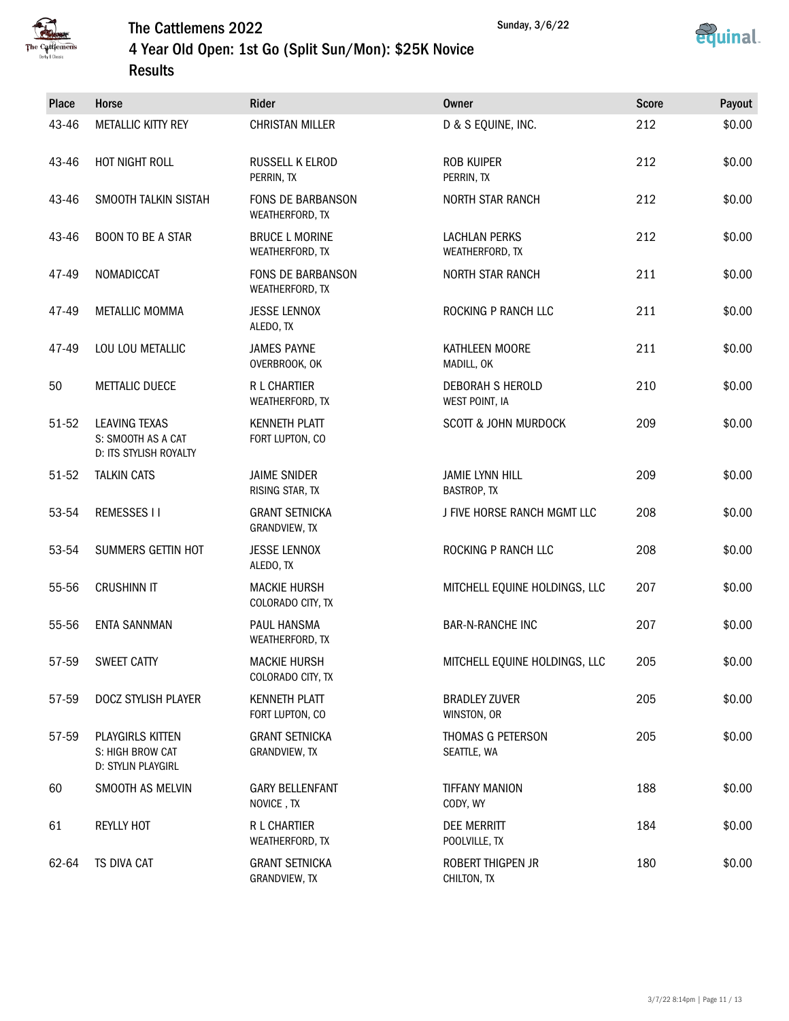



### 4 Year Old Open: 1st Go (Split Sun/Mon): \$25K Novice Results

| Place | Horse                                                         | Rider                                    | <b>Owner</b>                            | <b>Score</b> | Payout |
|-------|---------------------------------------------------------------|------------------------------------------|-----------------------------------------|--------------|--------|
| 43-46 | METALLIC KITTY REY                                            | <b>CHRISTAN MILLER</b>                   | D & S EQUINE, INC.                      | 212          | \$0.00 |
| 43-46 | HOT NIGHT ROLL                                                | RUSSELL K ELROD<br>PERRIN, TX            | <b>ROB KUIPER</b><br>PERRIN, TX         | 212          | \$0.00 |
| 43-46 | SMOOTH TALKIN SISTAH                                          | FONS DE BARBANSON<br>WEATHERFORD, TX     | <b>NORTH STAR RANCH</b>                 | 212          | \$0.00 |
| 43-46 | <b>BOON TO BE A STAR</b>                                      | <b>BRUCE L MORINE</b><br>WEATHERFORD, TX | <b>LACHLAN PERKS</b><br>WEATHERFORD, TX | 212          | \$0.00 |
| 47-49 | NOMADICCAT                                                    | FONS DE BARBANSON<br>WEATHERFORD, TX     | <b>NORTH STAR RANCH</b>                 | 211          | \$0.00 |
| 47-49 | <b>METALLIC MOMMA</b>                                         | <b>JESSE LENNOX</b><br>ALEDO, TX         | ROCKING P RANCH LLC                     | 211          | \$0.00 |
| 47-49 | LOU LOU METALLIC                                              | <b>JAMES PAYNE</b><br>OVERBROOK, OK      | KATHLEEN MOORE<br>MADILL, OK            | 211          | \$0.00 |
| 50    | <b>METTALIC DUECE</b>                                         | R L CHARTIER<br>WEATHERFORD, TX          | DEBORAH S HEROLD<br>WEST POINT, IA      | 210          | \$0.00 |
| 51-52 | LEAVING TEXAS<br>S: SMOOTH AS A CAT<br>D: ITS STYLISH ROYALTY | <b>KENNETH PLATT</b><br>FORT LUPTON, CO  | <b>SCOTT &amp; JOHN MURDOCK</b>         | 209          | \$0.00 |
| 51-52 | <b>TALKIN CATS</b>                                            | <b>JAIME SNIDER</b><br>RISING STAR, TX   | <b>JAMIE LYNN HILL</b><br>BASTROP, TX   | 209          | \$0.00 |
| 53-54 | <b>REMESSES II</b>                                            | <b>GRANT SETNICKA</b><br>GRANDVIEW, TX   | J FIVE HORSE RANCH MGMT LLC             | 208          | \$0.00 |
| 53-54 | SUMMERS GETTIN HOT                                            | <b>JESSE LENNOX</b><br>ALEDO, TX         | ROCKING P RANCH LLC                     | 208          | \$0.00 |
| 55-56 | <b>CRUSHINN IT</b>                                            | <b>MACKIE HURSH</b><br>COLORADO CITY, TX | MITCHELL EQUINE HOLDINGS, LLC           | 207          | \$0.00 |
| 55-56 | <b>ENTA SANNMAN</b>                                           | <b>PAUL HANSMA</b><br>WEATHERFORD, TX    | <b>BAR-N-RANCHE INC</b>                 | 207          | \$0.00 |
| 57-59 | SWEET CATTY                                                   | <b>MACKIE HURSH</b><br>COLORADO CITY, TX | MITCHELL EQUINE HOLDINGS, LLC           | 205          | \$0.00 |
| 57-59 | DOCZ STYLISH PLAYER                                           | <b>KENNETH PLATT</b><br>FORT LUPTON, CO  | <b>BRADLEY ZUVER</b><br>WINSTON, OR     | 205          | \$0.00 |
| 57-59 | PLAYGIRLS KITTEN<br>S: HIGH BROW CAT<br>D: STYLIN PLAYGIRL    | <b>GRANT SETNICKA</b><br>GRANDVIEW, TX   | THOMAS G PETERSON<br>SEATTLE, WA        | 205          | \$0.00 |
| 60    | SMOOTH AS MELVIN                                              | <b>GARY BELLENFANT</b><br>NOVICE, TX     | <b>TIFFANY MANION</b><br>CODY, WY       | 188          | \$0.00 |
| 61    | <b>REYLLY HOT</b>                                             | R L CHARTIER<br>WEATHERFORD, TX          | <b>DEE MERRITT</b><br>POOLVILLE, TX     | 184          | \$0.00 |
| 62-64 | TS DIVA CAT                                                   | <b>GRANT SETNICKA</b><br>GRANDVIEW, TX   | ROBERT THIGPEN JR<br>CHILTON, TX        | 180          | \$0.00 |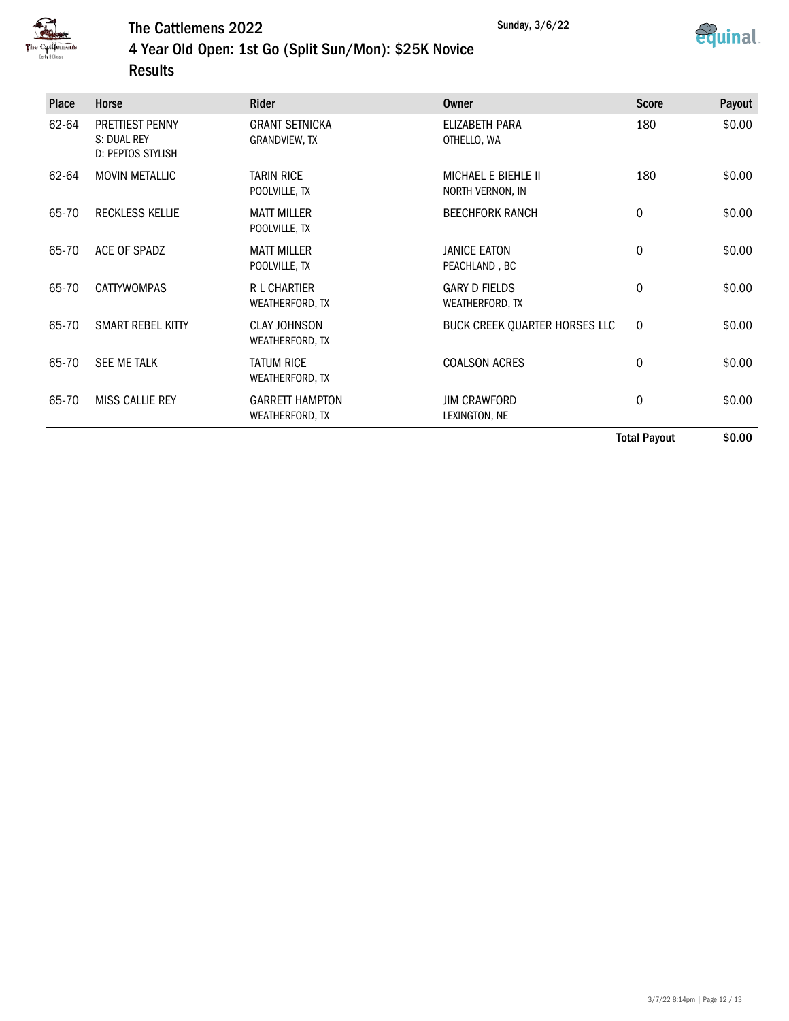



### 4 Year Old Open: 1st Go (Split Sun/Mon): \$25K Novice Results

| <b>Place</b> | <b>Horse</b>                                        | <b>Rider</b>                              | Owner                                          | <b>Score</b> | Payout |
|--------------|-----------------------------------------------------|-------------------------------------------|------------------------------------------------|--------------|--------|
| 62-64        | PRETTIEST PENNY<br>S: DUAL REY<br>D: PEPTOS STYLISH | <b>GRANT SETNICKA</b><br>GRANDVIEW, TX    | <b>ELIZABETH PARA</b><br>OTHELLO, WA           | 180          | \$0.00 |
| 62-64        | <b>MOVIN METALLIC</b>                               | <b>TARIN RICE</b><br>POOLVILLE, TX        | <b>MICHAEL E BIEHLE II</b><br>NORTH VERNON, IN | 180          | \$0.00 |
| 65-70        | <b>RECKLESS KELLIE</b>                              | <b>MATT MILLER</b><br>POOLVILLE, TX       | <b>BEECHFORK RANCH</b>                         | $\mathbf 0$  | \$0.00 |
| 65-70        | ACE OF SPADZ                                        | <b>MATT MILLER</b><br>POOLVILLE, TX       | <b>JANICE EATON</b><br>PEACHLAND, BC           | $\mathbf 0$  | \$0.00 |
| 65-70        | <b>CATTYWOMPAS</b>                                  | <b>R L CHARTIER</b><br>WEATHERFORD, TX    | <b>GARY D FIELDS</b><br>WEATHERFORD, TX        | 0            | \$0.00 |
| 65-70        | SMART REBEL KITTY                                   | <b>CLAY JOHNSON</b><br>WEATHERFORD, TX    | BUCK CREEK QUARTER HORSES LLC                  | $\mathbf 0$  | \$0.00 |
| 65-70        | <b>SEE ME TALK</b>                                  | <b>TATUM RICE</b><br>WEATHERFORD, TX      | <b>COALSON ACRES</b>                           | 0            | \$0.00 |
| 65-70        | MISS CALLIE REY                                     | <b>GARRETT HAMPTON</b><br>WEATHERFORD, TX | <b>JIM CRAWFORD</b><br>LEXINGTON, NE           | 0            | \$0.00 |
|              |                                                     |                                           |                                                | Tatal Davaut | ቀስ ስስ  |